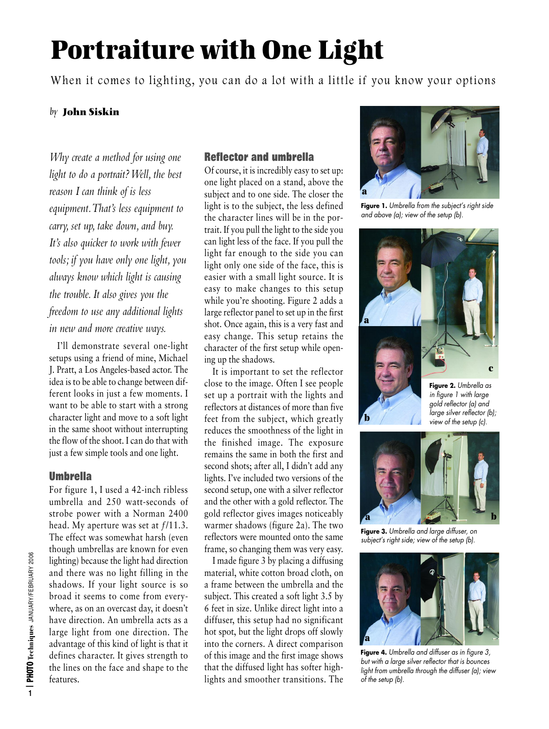# **Portraiture with One Light**

When it comes to lighting, you can do a lot with a little if you know your options

## *by* **John Siskin**

*Why create a method for using one light to do a portrait? Well, the best reason I can think of is less equipment.That's less equipment to carry, set up, take down, and buy. It's also quicker to work with fewer tools; if you have only one light, you always know which light is causing the trouble. It also gives you the freedom to use any additional lights in new and more creative ways.*

I'll demonstrate several one-light setups using a friend of mine, Michael J. Pratt, a Los Angeles-based actor. The idea is to be able to change between different looks in just a few moments. I want to be able to start with a strong character light and move to a soft light in the same shoot without interrupting the flow of the shoot. I can do that with just a few simple tools and one light.

## **Umbrella**

For figure 1, I used a 42-inch ribless umbrella and 250 watt-seconds of strobe power with a Norman 2400 head. My aperture was set at  $f/11.3$ . The effect was somewhat harsh (even though umbrellas are known for even lighting) because the light had direction and there was no light filling in the shadows. If your light source is so broad it seems to come from everywhere, as on an overcast day, it doesn't have direction. An umbrella acts as a large light from one direction. The advantage of this kind of light is that it defines character. It gives strength to the lines on the face and shape to the features.

## **Reflector and umbrella**

Of course, it is incredibly easy to set up: one light placed on a stand, above the subject and to one side. The closer the light is to the subject, the less defined the character lines will be in the portrait. If you pull the light to the side you can light less of the face. If you pull the light far enough to the side you can light only one side of the face, this is easier with a small light source. It is easy to make changes to this setup while you're shooting. Figure 2 adds a large reflector panel to set up in the first shot. Once again, this is a very fast and easy change. This setup retains the character of the first setup while opening up the shadows.

It is important to set the reflector close to the image. Often I see people set up a portrait with the lights and reflectors at distances of more than five feet from the subject, which greatly reduces the smoothness of the light in the finished image. The exposure remains the same in both the first and second shots; after all, I didn't add any lights. I've included two versions of the second setup, one with a silver reflector and the other with a gold reflector. The gold reflector gives images noticeably warmer shadows (figure 2a). The two reflectors were mounted onto the same frame, so changing them was very easy.

I made figure 3 by placing a diffusing material, white cotton broad cloth, on a frame between the umbrella and the subject. This created a soft light 3.5 by 6 feet in size. Unlike direct light into a diffuser, this setup had no significant hot spot, but the light drops off slowly into the corners. A direct comparison of this image and the first image shows that the diffused light has softer highlights and smoother transitions. The



**Figure 1.** *Umbrella from the subject's right side and above (a); view of the setup (b).*



*gold reflector (a) and large silver reflector (b); view of the setup (c).* 



**b**

**Figure 3.** *Umbrella and large diffuser, on subject's right side; view of the setup (b).*



**Figure 4.** *Umbrella and diffuser as in figure 3, but with a large silver reflector that is bounces light from umbrella through the diffuser (a); view of the setup (b).*